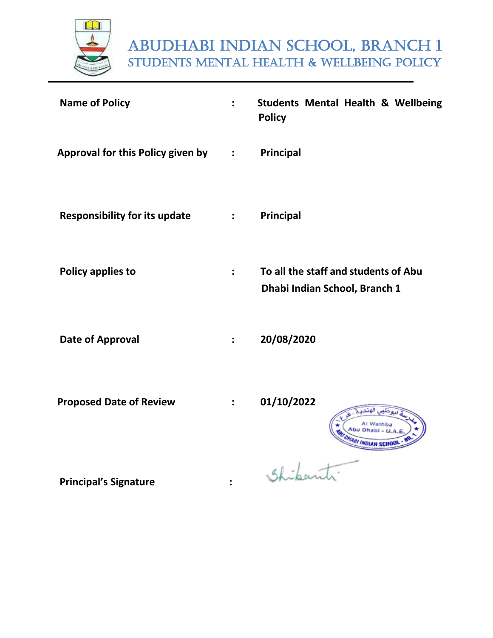

# ABUDHABI INDIAN SCHOOL, BRANCH 1 students Mental health & wellbeing policy

| <b>Name of Policy</b>                |                      | <b>Students Mental Health &amp; Wellbeing</b><br><b>Policy</b>        |
|--------------------------------------|----------------------|-----------------------------------------------------------------------|
| Approval for this Policy given by :  |                      | Principal                                                             |
| <b>Responsibility for its update</b> | $\ddot{\cdot}$       | Principal                                                             |
| <b>Policy applies to</b>             | $\ddot{\phantom{a}}$ | To all the staff and students of Abu<br>Dhabi Indian School, Branch 1 |
| <b>Date of Approval</b>              | $\ddot{\cdot}$       | 20/08/2020                                                            |
| <b>Proposed Date of Review</b>       |                      | 01/10/2022                                                            |
| Drincinalle Cianature                |                      |                                                                       |

 **Principal's Signature :**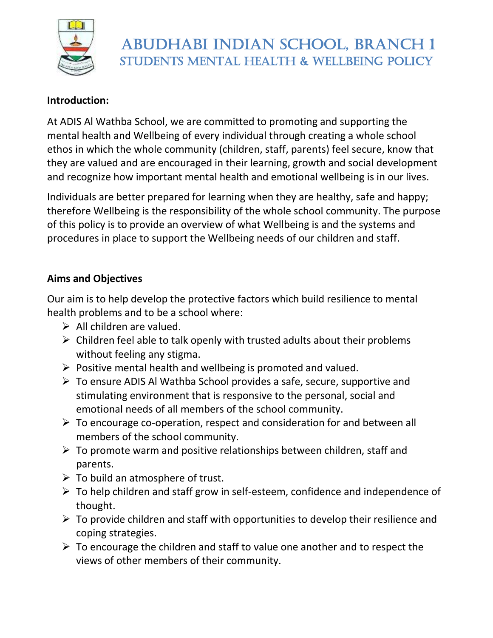

# ABUDHABI INDIAN SCHOOL, BRANCH 1 Students Mental Health & Wellbeing policy

#### **Introduction:**

At ADIS Al Wathba School, we are committed to promoting and supporting the mental health and Wellbeing of every individual through creating a whole school ethos in which the whole community (children, staff, parents) feel secure, know that they are valued and are encouraged in their learning, growth and social development and recognize how important mental health and emotional wellbeing is in our lives.

Individuals are better prepared for learning when they are healthy, safe and happy; therefore Wellbeing is the responsibility of the whole school community. The purpose of this policy is to provide an overview of what Wellbeing is and the systems and procedures in place to support the Wellbeing needs of our children and staff.

#### **Aims and Objectives**

Our aim is to help develop the protective factors which build resilience to mental health problems and to be a school where:

- $\triangleright$  All children are valued.
- $\triangleright$  Children feel able to talk openly with trusted adults about their problems without feeling any stigma.
- $\triangleright$  Positive mental health and wellbeing is promoted and valued.
- ➢ To ensure ADIS Al Wathba School provides a safe, secure, supportive and stimulating environment that is responsive to the personal, social and emotional needs of all members of the school community.
- $\triangleright$  To encourage co-operation, respect and consideration for and between all members of the school community.
- $\triangleright$  To promote warm and positive relationships between children, staff and parents.
- $\triangleright$  To build an atmosphere of trust.
- ➢ To help children and staff grow in self-esteem, confidence and independence of thought.
- $\triangleright$  To provide children and staff with opportunities to develop their resilience and coping strategies.
- $\triangleright$  To encourage the children and staff to value one another and to respect the views of other members of their community.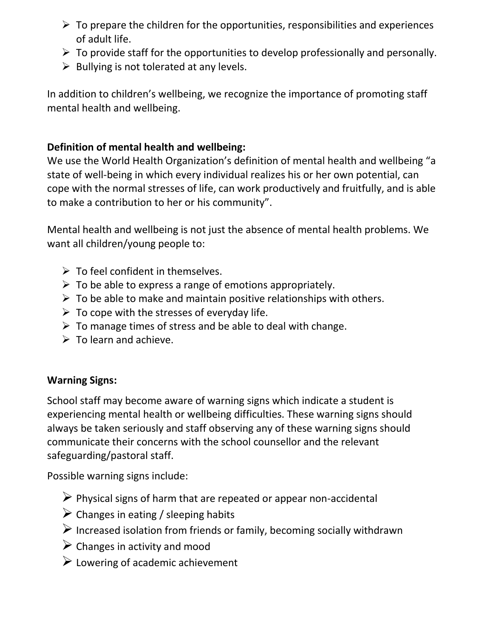- $\triangleright$  To prepare the children for the opportunities, responsibilities and experiences of adult life.
- $\triangleright$  To provide staff for the opportunities to develop professionally and personally.
- $\triangleright$  Bullying is not tolerated at any levels.

In addition to children's wellbeing, we recognize the importance of promoting staff mental health and wellbeing.

### **Definition of mental health and wellbeing:**

We use the World Health Organization's definition of mental health and wellbeing "a state of well-being in which every individual realizes his or her own potential, can cope with the normal stresses of life, can work productively and fruitfully, and is able to make a contribution to her or his community".

Mental health and wellbeing is not just the absence of mental health problems. We want all children/young people to:

- $\triangleright$  To feel confident in themselves.
- $\triangleright$  To be able to express a range of emotions appropriately.
- $\triangleright$  To be able to make and maintain positive relationships with others.
- $\triangleright$  To cope with the stresses of everyday life.
- $\triangleright$  To manage times of stress and be able to deal with change.
- $\triangleright$  To learn and achieve.

## **Warning Signs:**

School staff may become aware of warning signs which indicate a student is experiencing mental health or wellbeing difficulties. These warning signs should always be taken seriously and staff observing any of these warning signs should communicate their concerns with the school counsellor and the relevant safeguarding/pastoral staff.

Possible warning signs include:

- $\triangleright$  Physical signs of harm that are repeated or appear non-accidental
- $\triangleright$  Changes in eating / sleeping habits
- $\triangleright$  Increased isolation from friends or family, becoming socially withdrawn
- $\triangleright$  Changes in activity and mood
- $\triangleright$  Lowering of academic achievement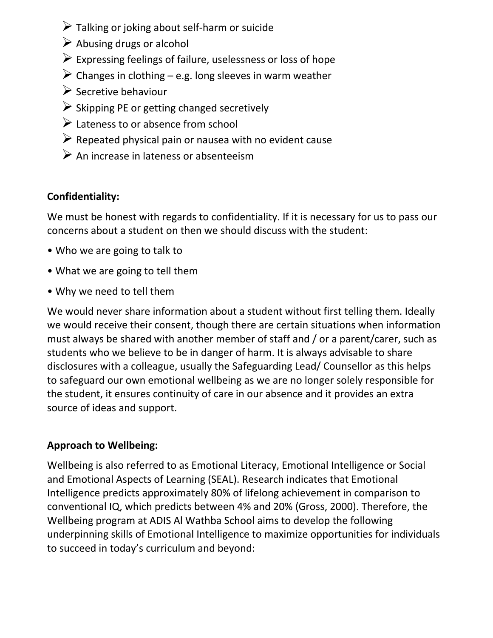- $\triangleright$  Talking or joking about self-harm or suicide
- $\triangleright$  Abusing drugs or alcohol
- $\triangleright$  Expressing feelings of failure, uselessness or loss of hope
- $\triangleright$  Changes in clothing e.g. long sleeves in warm weather
- $\triangleright$  Secretive behaviour
- $\triangleright$  Skipping PE or getting changed secretively
- $\triangleright$  Lateness to or absence from school
- $\triangleright$  Repeated physical pain or nausea with no evident cause
- $\triangleright$  An increase in lateness or absenteeism

## **Confidentiality:**

We must be honest with regards to confidentiality. If it is necessary for us to pass our concerns about a student on then we should discuss with the student:

- Who we are going to talk to
- What we are going to tell them
- Why we need to tell them

We would never share information about a student without first telling them. Ideally we would receive their consent, though there are certain situations when information must always be shared with another member of staff and / or a parent/carer, such as students who we believe to be in danger of harm. It is always advisable to share disclosures with a colleague, usually the Safeguarding Lead/ Counsellor as this helps to safeguard our own emotional wellbeing as we are no longer solely responsible for the student, it ensures continuity of care in our absence and it provides an extra source of ideas and support.

## **Approach to Wellbeing:**

Wellbeing is also referred to as Emotional Literacy, Emotional Intelligence or Social and Emotional Aspects of Learning (SEAL). Research indicates that Emotional Intelligence predicts approximately 80% of lifelong achievement in comparison to conventional IQ, which predicts between 4% and 20% (Gross, 2000). Therefore, the Wellbeing program at ADIS Al Wathba School aims to develop the following underpinning skills of Emotional Intelligence to maximize opportunities for individuals to succeed in today's curriculum and beyond: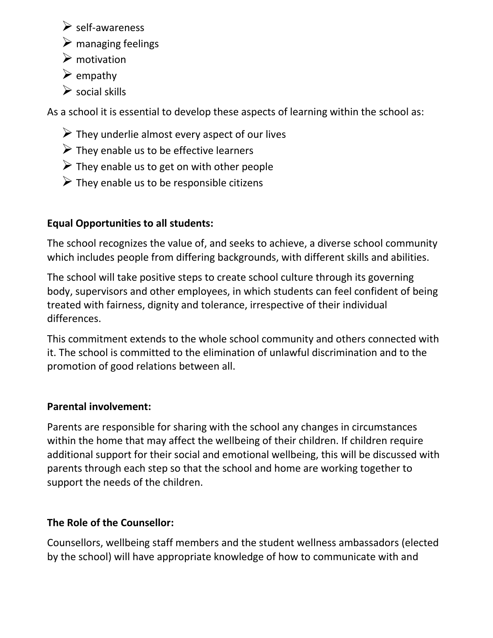- $\triangleright$  self-awareness
- $\triangleright$  managing feelings
- $\triangleright$  motivation
- $\triangleright$  empathy
- $\triangleright$  social skills

As a school it is essential to develop these aspects of learning within the school as:

- $\triangleright$  They underlie almost every aspect of our lives
- $\triangleright$  They enable us to be effective learners
- $\triangleright$  They enable us to get on with other people
- $\triangleright$  They enable us to be responsible citizens

## **Equal Opportunities to all students:**

The school recognizes the value of, and seeks to achieve, a diverse school community which includes people from differing backgrounds, with different skills and abilities.

The school will take positive steps to create school culture through its governing body, supervisors and other employees, in which students can feel confident of being treated with fairness, dignity and tolerance, irrespective of their individual differences.

This commitment extends to the whole school community and others connected with it. The school is committed to the elimination of unlawful discrimination and to the promotion of good relations between all.

#### **Parental involvement:**

Parents are responsible for sharing with the school any changes in circumstances within the home that may affect the wellbeing of their children. If children require additional support for their social and emotional wellbeing, this will be discussed with parents through each step so that the school and home are working together to support the needs of the children.

## **The Role of the Counsellor:**

Counsellors, wellbeing staff members and the student wellness ambassadors (elected by the school) will have appropriate knowledge of how to communicate with and